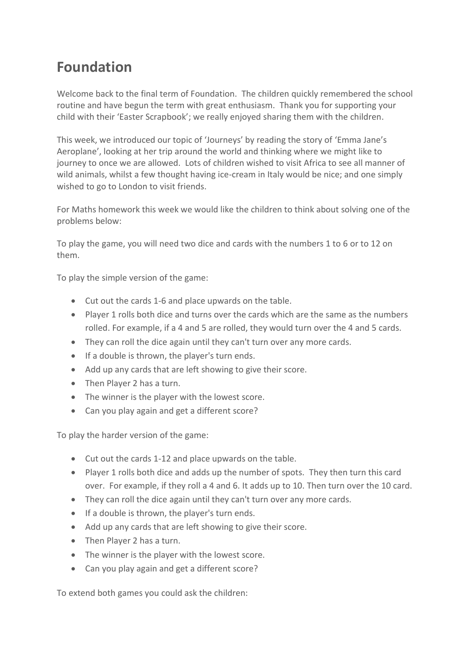## **Foundation**

Welcome back to the final term of Foundation. The children quickly remembered the school routine and have begun the term with great enthusiasm. Thank you for supporting your child with their 'Easter Scrapbook'; we really enjoyed sharing them with the children.

This week, we introduced our topic of 'Journeys' by reading the story of 'Emma Jane's Aeroplane', looking at her trip around the world and thinking where we might like to journey to once we are allowed. Lots of children wished to visit Africa to see all manner of wild animals, whilst a few thought having ice-cream in Italy would be nice; and one simply wished to go to London to visit friends.

For Maths homework this week we would like the children to think about solving one of the problems below:

To play the game, you will need two dice and cards with the numbers 1 to 6 or to 12 on them.

To play the simple version of the game:

- Cut out the cards 1-6 and place upwards on the table.
- Player 1 rolls both dice and turns over the cards which are the same as the numbers rolled. For example, if a 4 and 5 are rolled, they would turn over the 4 and 5 cards.
- They can roll the dice again until they can't turn over any more cards.
- If a double is thrown, the player's turn ends.
- Add up any cards that are left showing to give their score.
- Then Player 2 has a turn.
- The winner is the player with the lowest score.
- Can you play again and get a different score?

To play the harder version of the game:

- Cut out the cards 1-12 and place upwards on the table.
- Player 1 rolls both dice and adds up the number of spots. They then turn this card over. For example, if they roll a 4 and 6. It adds up to 10. Then turn over the 10 card.
- They can roll the dice again until they can't turn over any more cards.
- If a double is thrown, the player's turn ends.
- Add up any cards that are left showing to give their score.
- Then Player 2 has a turn.
- The winner is the player with the lowest score.
- Can you play again and get a different score?

To extend both games you could ask the children: